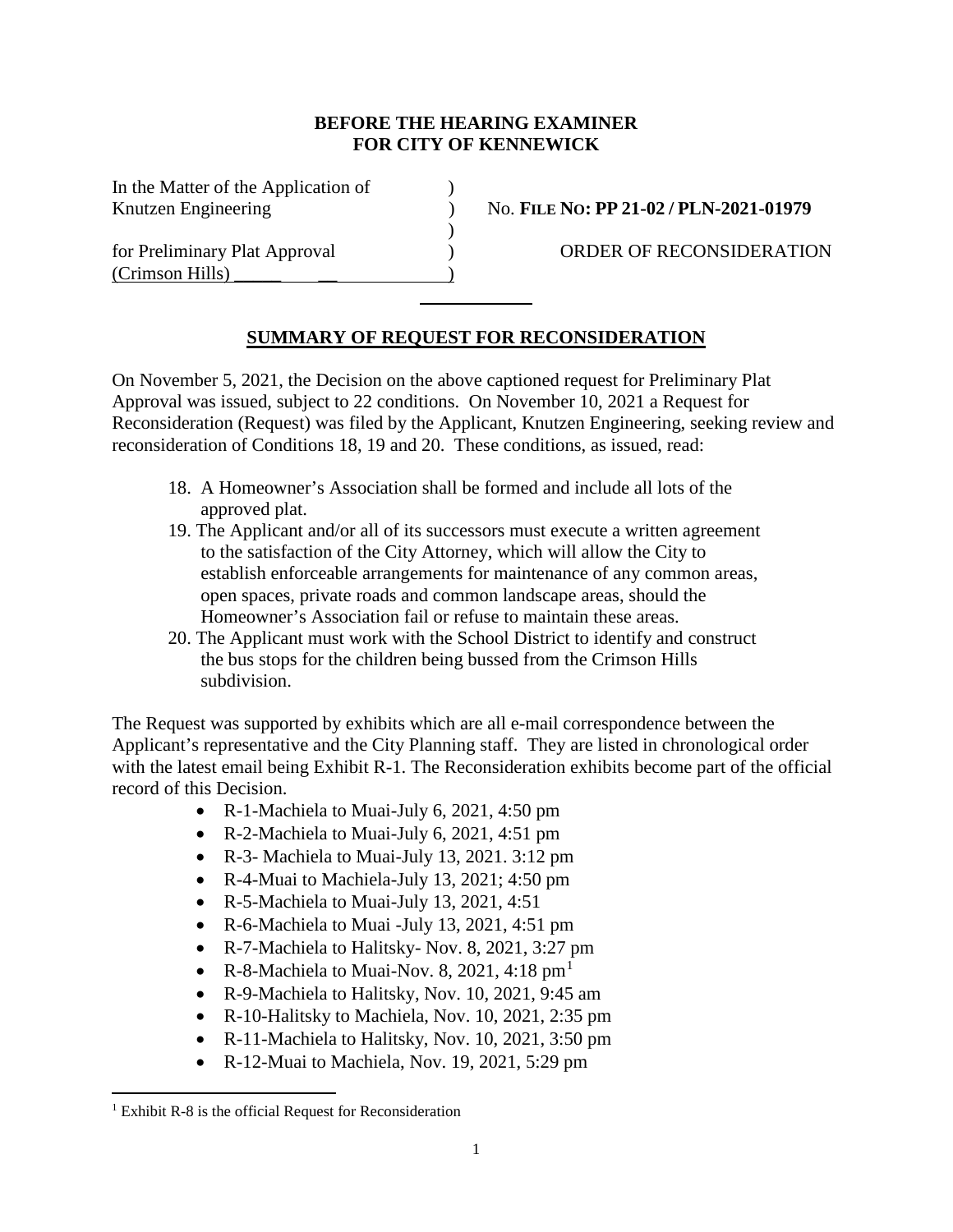## **BEFORE THE HEARING EXAMINER FOR CITY OF KENNEWICK**

 $\mathcal{L}$ 

In the Matter of the Application of )

(Crimson Hills) \_\_\_\_\_ \_\_ )

Knutzen Engineering ) No. **FILE NO: PP 21-02 / PLN-2021-01979** 

for Preliminary Plat Approval (a) (Separate Company Plat Approval (a) (Separate Company ORDER OF RECONSIDERATION

## **SUMMARY OF REQUEST FOR RECONSIDERATION**

On November 5, 2021, the Decision on the above captioned request for Preliminary Plat Approval was issued, subject to 22 conditions. On November 10, 2021 a Request for Reconsideration (Request) was filed by the Applicant, Knutzen Engineering, seeking review and reconsideration of Conditions 18, 19 and 20. These conditions, as issued, read:

- 18. A Homeowner's Association shall be formed and include all lots of the approved plat.
- 19. The Applicant and/or all of its successors must execute a written agreement to the satisfaction of the City Attorney, which will allow the City to establish enforceable arrangements for maintenance of any common areas, open spaces, private roads and common landscape areas, should the Homeowner's Association fail or refuse to maintain these areas.
- 20. The Applicant must work with the School District to identify and construct the bus stops for the children being bussed from the Crimson Hills subdivision.

The Request was supported by exhibits which are all e-mail correspondence between the Applicant's representative and the City Planning staff. They are listed in chronological order with the latest email being Exhibit R-1. The Reconsideration exhibits become part of the official record of this Decision.

- R-1-Machiela to Muai-July 6, 2021, 4:50 pm
- R-2-Machiela to Muai-July 6, 2021, 4:51 pm
- R-3- Machiela to Muai-July 13, 2021. 3:12 pm
- R-4-Muai to Machiela-July 13, 2021; 4:50 pm
- R-5-Machiela to Muai-July 13, 2021, 4:51
- R-6-Machiela to Muai -July 13, 2021, 4:51 pm
- R-7-Machiela to Halitsky- Nov. 8, 2021, 3:27 pm
- R-8-Machiela to Muai-Nov. 8, 202[1](#page-0-0), 4:18  $\text{pm}^1$
- R-9-Machiela to Halitsky, Nov. 10, 2021, 9:45 am
- R-10-Halitsky to Machiela, Nov. 10, 2021, 2:35 pm
- R-11-Machiela to Halitsky, Nov. 10, 2021, 3:50 pm
- R-12-Muai to Machiela, Nov. 19, 2021, 5:29 pm

<span id="page-0-0"></span> $1$  Exhibit R-8 is the official Request for Reconsideration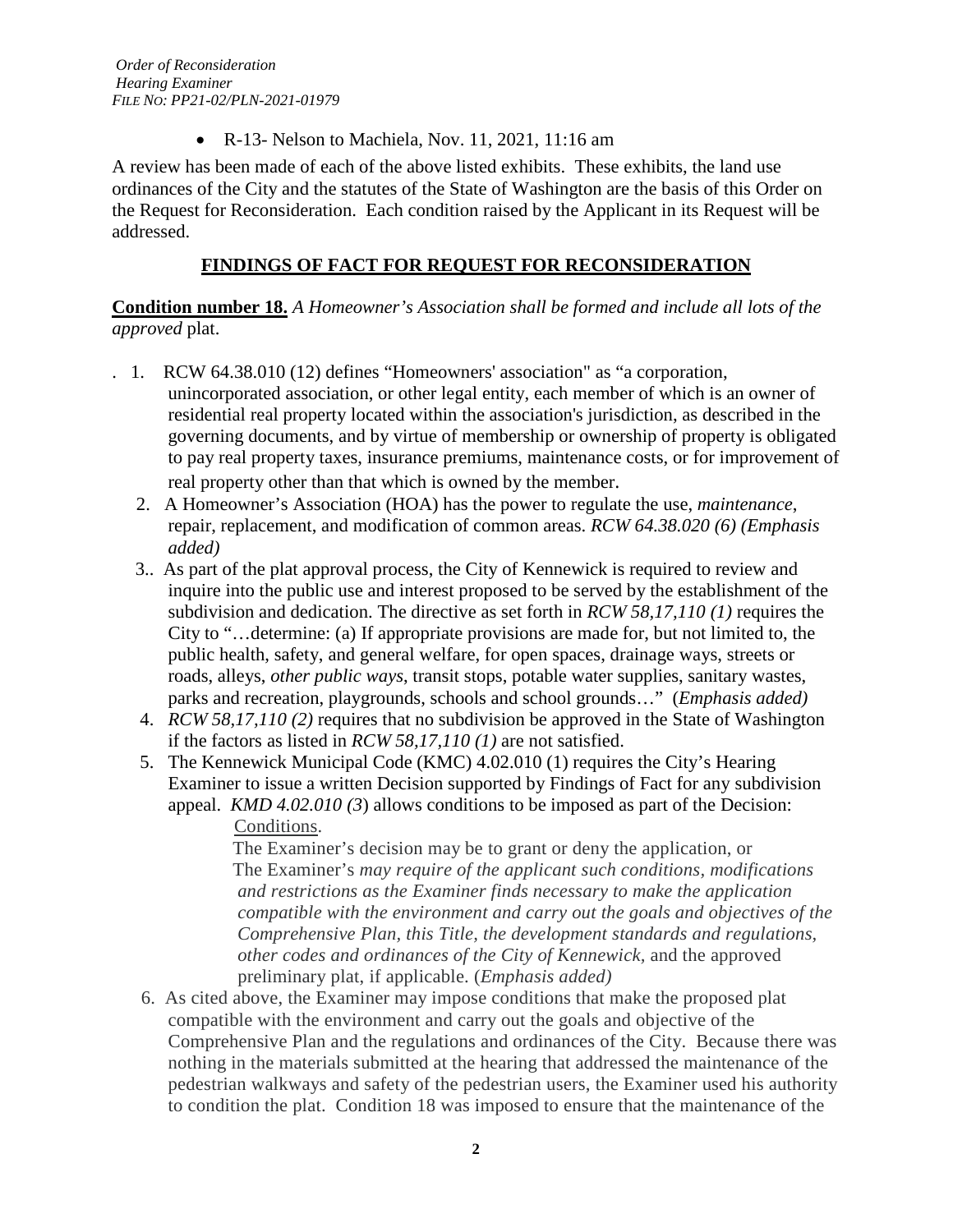• R-13- Nelson to Machiela, Nov. 11, 2021, 11:16 am

A review has been made of each of the above listed exhibits. These exhibits, the land use ordinances of the City and the statutes of the State of Washington are the basis of this Order on the Request for Reconsideration. Each condition raised by the Applicant in its Request will be addressed.

## **FINDINGS OF FACT FOR REQUEST FOR RECONSIDERATION**

**Condition number 18.** *A Homeowner's Association shall be formed and include all lots of the approved* plat.

- . 1. RCW 64.38.010 (12) defines "Homeowners' association" as "a corporation, unincorporated association, or other legal entity, each member of which is an owner of residential real property located within the association's jurisdiction, as described in the governing documents, and by virtue of membership or ownership of property is obligated to pay real property taxes, insurance premiums, maintenance costs, or for improvement of real property other than that which is owned by the member.
	- 2. A Homeowner's Association (HOA) has the power to regulate the use, *maintenance*, repair, replacement, and modification of common areas. *RCW 64.38.020 (6) (Emphasis added)*
	- 3.. As part of the plat approval process, the City of Kennewick is required to review and inquire into the public use and interest proposed to be served by the establishment of the subdivision and dedication. The directive as set forth in *RCW 58,17,110 (1)* requires the City to "…determine: (a) If appropriate provisions are made for, but not limited to, the public health, safety, and general welfare, for open spaces, drainage ways, streets or roads, alleys, *other public ways*, transit stops, potable water supplies, sanitary wastes, parks and recreation, playgrounds, schools and school grounds…" (*Emphasis added)*
	- 4. *RCW 58,17,110 (2)* requires that no subdivision be approved in the State of Washington if the factors as listed in *RCW 58,17,110 (1)* are not satisfied.
	- 5. The Kennewick Municipal Code (KMC) 4.02.010 (1) requires the City's Hearing Examiner to issue a written Decision supported by Findings of Fact for any subdivision appeal. *KMD 4.02.010 (3*) allows conditions to be imposed as part of the Decision: Conditions.

 The Examiner's decision may be to grant or deny the application, or The Examiner's *may require of the applicant such conditions, modifications and restrictions as the Examiner finds necessary to make the application compatible with the environment and carry out the goals and objectives of the Comprehensive Plan, this Title, the development standards and regulations, other codes and ordinances of the City of Kennewick,* and the approved preliminary plat, if applicable. (*Emphasis added)*

 6. As cited above, the Examiner may impose conditions that make the proposed plat compatible with the environment and carry out the goals and objective of the Comprehensive Plan and the regulations and ordinances of the City. Because there was nothing in the materials submitted at the hearing that addressed the maintenance of the pedestrian walkways and safety of the pedestrian users, the Examiner used his authority to condition the plat. Condition 18 was imposed to ensure that the maintenance of the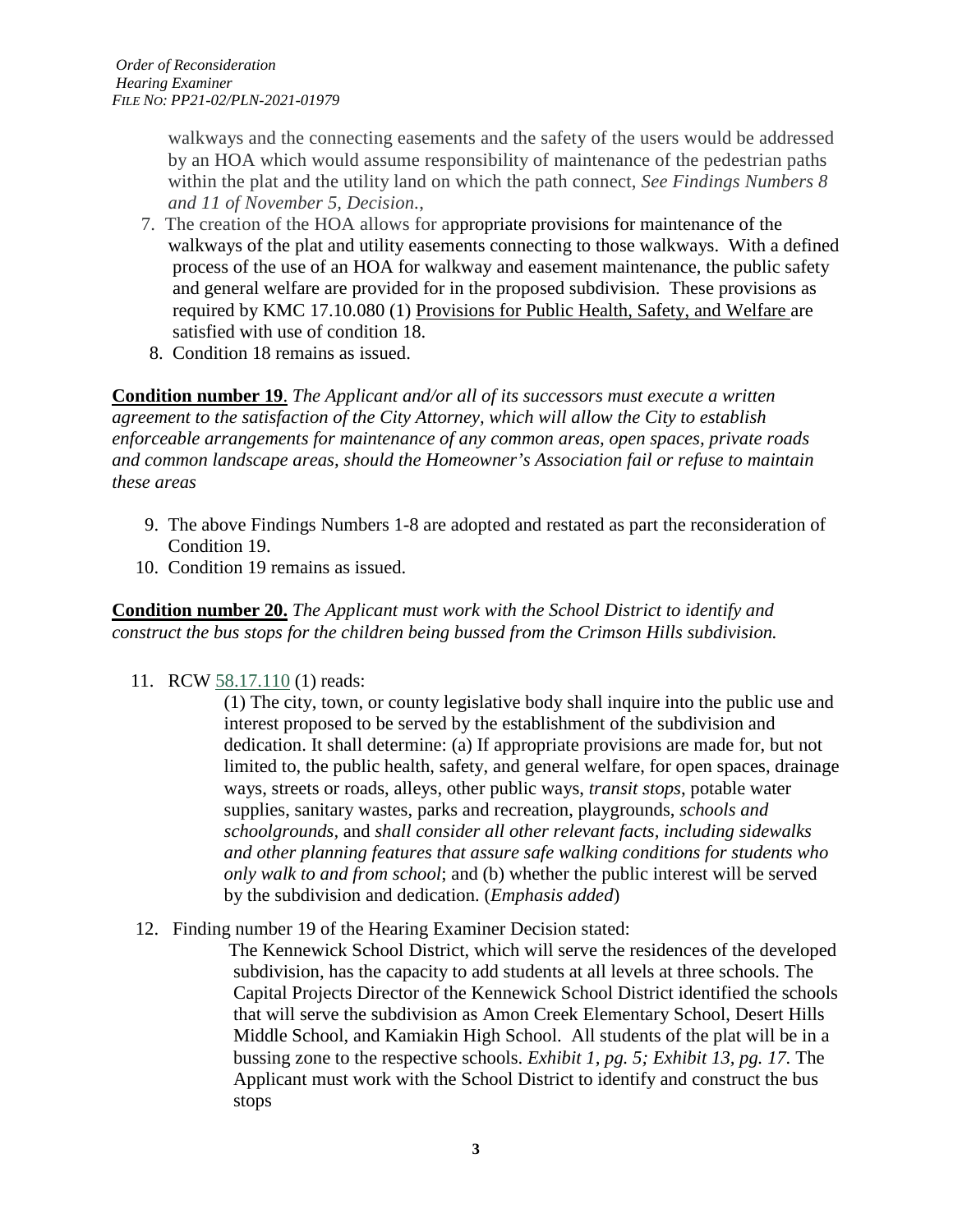walkways and the connecting easements and the safety of the users would be addressed by an HOA which would assume responsibility of maintenance of the pedestrian paths within the plat and the utility land on which the path connect, *See Findings Numbers 8 and 11 of November 5, Decision.*,

- 7. The creation of the HOA allows for appropriate provisions for maintenance of the walkways of the plat and utility easements connecting to those walkways. With a defined process of the use of an HOA for walkway and easement maintenance, the public safety and general welfare are provided for in the proposed subdivision. These provisions as required by KMC 17.10.080 (1) Provisions for Public Health, Safety, and Welfare are satisfied with use of condition 18.
- 8. Condition 18 remains as issued.

**Condition number 19**. *The Applicant and/or all of its successors must execute a written agreement to the satisfaction of the City Attorney, which will allow the City to establish enforceable arrangements for maintenance of any common areas, open spaces, private roads and common landscape areas, should the Homeowner's Association fail or refuse to maintain these areas*

- 9. The above Findings Numbers 1-8 are adopted and restated as part the reconsideration of Condition 19.
- 10. Condition 19 remains as issued.

**Condition number 20.** *The Applicant must work with the School District to identify and construct the bus stops for the children being bussed from the Crimson Hills subdivision.*

11. RCW [58.17.110](http://app.leg.wa.gov/RCW/default.aspx?cite=58.17.110) (1) reads:

(1) The city, town, or county legislative body shall inquire into the public use and interest proposed to be served by the establishment of the subdivision and dedication. It shall determine: (a) If appropriate provisions are made for, but not limited to, the public health, safety, and general welfare, for open spaces, drainage ways, streets or roads, alleys, other public ways, *transit stops*, potable water supplies, sanitary wastes, parks and recreation, playgrounds, *schools and schoolgrounds,* and *shall consider all other relevant facts, including sidewalks and other planning features that assure safe walking conditions for students who only walk to and from school*; and (b) whether the public interest will be served by the subdivision and dedication. (*Emphasis added*)

12. Finding number 19 of the Hearing Examiner Decision stated:

The Kennewick School District, which will serve the residences of the developed subdivision, has the capacity to add students at all levels at three schools. The Capital Projects Director of the Kennewick School District identified the schools that will serve the subdivision as Amon Creek Elementary School, Desert Hills Middle School, and Kamiakin High School. All students of the plat will be in a bussing zone to the respective schools. *Exhibit 1, pg. 5; Exhibit 13, pg. 17.* The Applicant must work with the School District to identify and construct the bus stops